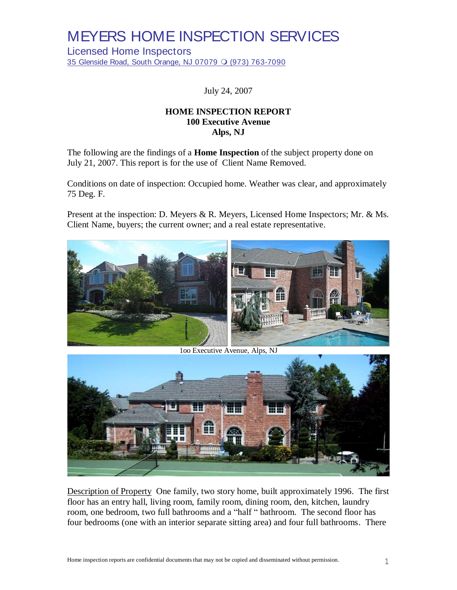Licensed Home Inspectors 35 Glenside Road, South Orange, NJ 07079 O (973) 763-7090

July 24, 2007

### **HOME INSPECTION REPORT 100 Executive Avenue Alps, NJ**

The following are the findings of a **Home Inspection** of the subject property done on July 21, 2007. This report is for the use of Client Name Removed.

Conditions on date of inspection: Occupied home. Weather was clear, and approximately 75 Deg. F.

Present at the inspection: D. Meyers & R. Meyers, Licensed Home Inspectors; Mr. & Ms. Client Name, buyers; the current owner; and a real estate representative.



1oo Executive Avenue, Alps, NJ



Description of Property One family, two story home, built approximately 1996. The first floor has an entry hall, living room, family room, dining room, den, kitchen, laundry room, one bedroom, two full bathrooms and a "half " bathroom. The second floor has four bedrooms (one with an interior separate sitting area) and four full bathrooms. There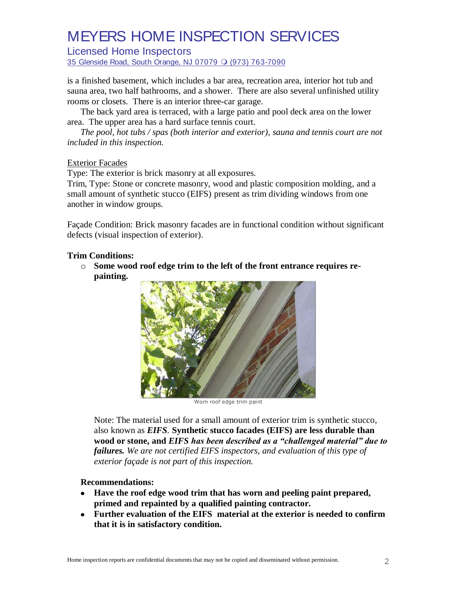Licensed Home Inspectors

35 Glenside Road, South Orange, NJ 07079 O (973) 763-7090

is a finished basement, which includes a bar area, recreation area, interior hot tub and sauna area, two half bathrooms, and a shower. There are also several unfinished utility rooms or closets. There is an interior three-car garage.

The back yard area is terraced, with a large patio and pool deck area on the lower area. The upper area has a hard surface tennis court.

*The pool, hot tubs / spas (both interior and exterior), sauna and tennis court are not included in this inspection.*

#### Exterior Facades

Type: The exterior is brick masonry at all exposures.

Trim, Type: Stone or concrete masonry, wood and plastic composition molding, and a small amount of synthetic stucco (EIFS) present as trim dividing windows from one another in window groups.

Façade Condition: Brick masonry facades are in functional condition without significant defects (visual inspection of exterior).

#### **Trim Conditions:**

o **Some wood roof edge trim to the left of the front entrance requires repainting.**



Worn roof edge trim paint

Note: The material used for a small amount of exterior trim is synthetic stucco, also known as *EIFS.* **Synthetic stucco facades (EIFS) are less durable than wood or stone, and** *EIFS has been described as a "challenged material" due to failures. We are not certified EIFS inspectors, and evaluation of this type of exterior façade is not part of this inspection.* 

#### **Recommendations:**

- **Have the roof edge wood trim that has worn and peeling paint prepared, primed and repainted by a qualified painting contractor.**
- **Further evaluation of the EIFS material at the exterior is needed to confirm that it is in satisfactory condition.**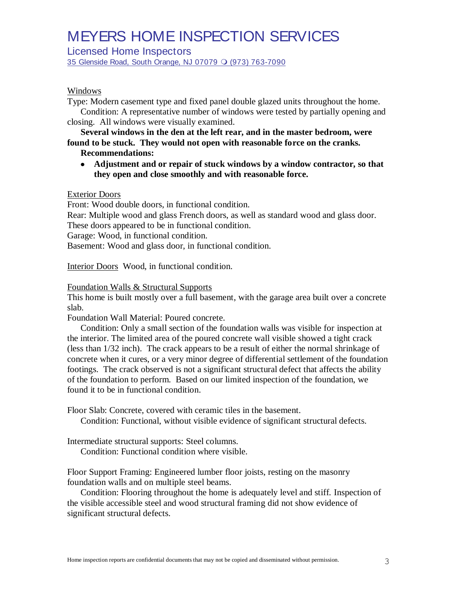Licensed Home Inspectors

35 Glenside Road, South Orange, NJ 07079 O (973) 763-7090

### Windows

Type: Modern casement type and fixed panel double glazed units throughout the home.

Condition: A representative number of windows were tested by partially opening and closing. All windows were visually examined.

**Several windows in the den at the left rear, and in the master bedroom, were found to be stuck. They would not open with reasonable force on the cranks.**

- **Recommendations:**
- **Adjustment and or repair of stuck windows by a window contractor, so that they open and close smoothly and with reasonable force.**

### Exterior Doors

Front: Wood double doors, in functional condition.

Rear: Multiple wood and glass French doors, as well as standard wood and glass door. These doors appeared to be in functional condition.

Garage: Wood, in functional condition.

Basement: Wood and glass door, in functional condition.

Interior Doors Wood, in functional condition.

#### Foundation Walls & Structural Supports

This home is built mostly over a full basement, with the garage area built over a concrete slab.

Foundation Wall Material: Poured concrete.

Condition: Only a small section of the foundation walls was visible for inspection at the interior. The limited area of the poured concrete wall visible showed a tight crack (less than 1/32 inch). The crack appears to be a result of either the normal shrinkage of concrete when it cures, or a very minor degree of differential settlement of the foundation footings. The crack observed is not a significant structural defect that affects the ability of the foundation to perform. Based on our limited inspection of the foundation, we found it to be in functional condition.

Floor Slab: Concrete, covered with ceramic tiles in the basement.

Condition: Functional, without visible evidence of significant structural defects.

Intermediate structural supports: Steel columns.

Condition: Functional condition where visible.

Floor Support Framing: Engineered lumber floor joists, resting on the masonry foundation walls and on multiple steel beams.

Condition: Flooring throughout the home is adequately level and stiff. Inspection of the visible accessible steel and wood structural framing did not show evidence of significant structural defects.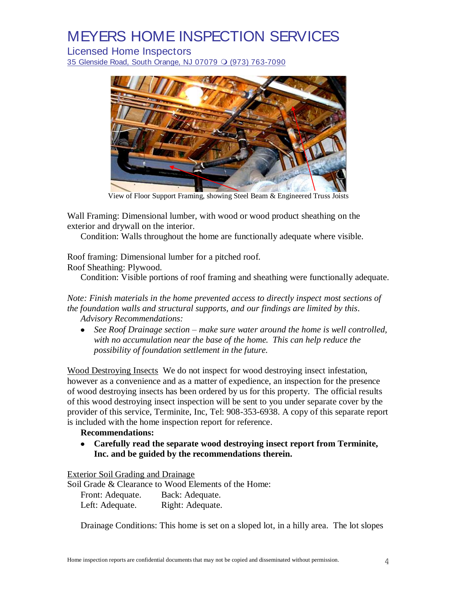Licensed Home Inspectors

35 Glenside Road, South Orange, NJ 07079 O (973) 763-7090



View of Floor Support Framing, showing Steel Beam & Engineered Truss Joists

Wall Framing: Dimensional lumber, with wood or wood product sheathing on the exterior and drywall on the interior.

Condition: Walls throughout the home are functionally adequate where visible.

Roof framing: Dimensional lumber for a pitched roof. Roof Sheathing: Plywood.

Condition: Visible portions of roof framing and sheathing were functionally adequate.

*Note: Finish materials in the home prevented access to directly inspect most sections of the foundation walls and structural supports, and our findings are limited by this*. *Advisory Recommendations:*

*See Roof Drainage section – make sure water around the home is well controlled, with no accumulation near the base of the home. This can help reduce the possibility of foundation settlement in the future.*

Wood Destroying Insects We do not inspect for wood destroying insect infestation, however as a convenience and as a matter of expedience, an inspection for the presence of wood destroying insects has been ordered by us for this property. The official results of this wood destroying insect inspection will be sent to you under separate cover by the provider of this service, Terminite, Inc, Tel: 908-353-6938. A copy of this separate report is included with the home inspection report for reference.

### **Recommendations:**

**Carefully read the separate wood destroying insect report from Terminite, Inc. and be guided by the recommendations therein.**

Exterior Soil Grading and Drainage

Soil Grade & Clearance to Wood Elements of the Home:

| Front: Adequate. | Back: Adequate.  |
|------------------|------------------|
| Left: Adequate.  | Right: Adequate. |

Drainage Conditions: This home is set on a sloped lot, in a hilly area. The lot slopes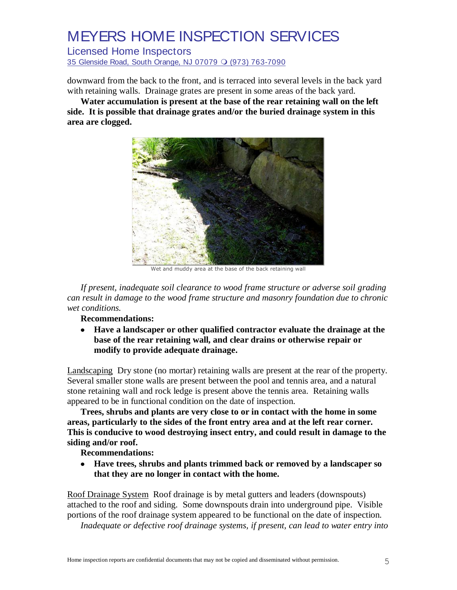Licensed Home Inspectors

35 Glenside Road, South Orange, NJ 07079 O (973) 763-7090

downward from the back to the front, and is terraced into several levels in the back yard with retaining walls. Drainage grates are present in some areas of the back yard.

**Water accumulation is present at the base of the rear retaining wall on the left side. It is possible that drainage grates and/or the buried drainage system in this area are clogged.**



Wet and muddy area at the base of the back retaining wall

*If present, inadequate soil clearance to wood frame structure or adverse soil grading can result in damage to the wood frame structure and masonry foundation due to chronic wet conditions.*

**Recommendations:**

**Have a landscaper or other qualified contractor evaluate the drainage at the**   $\bullet$ **base of the rear retaining wall, and clear drains or otherwise repair or modify to provide adequate drainage.**

Landscaping Dry stone (no mortar) retaining walls are present at the rear of the property. Several smaller stone walls are present between the pool and tennis area, and a natural stone retaining wall and rock ledge is present above the tennis area. Retaining walls appeared to be in functional condition on the date of inspection.

**Trees, shrubs and plants are very close to or in contact with the home in some areas, particularly to the sides of the front entry area and at the left rear corner. This is conducive to wood destroying insect entry, and could result in damage to the siding and/or roof.**

**Recommendations:**

**Have trees, shrubs and plants trimmed back or removed by a landscaper so that they are no longer in contact with the home.**

Roof Drainage System Roof drainage is by metal gutters and leaders (downspouts) attached to the roof and siding. Some downspouts drain into underground pipe. Visible portions of the roof drainage system appeared to be functional on the date of inspection.

*Inadequate or defective roof drainage systems, if present, can lead to water entry into*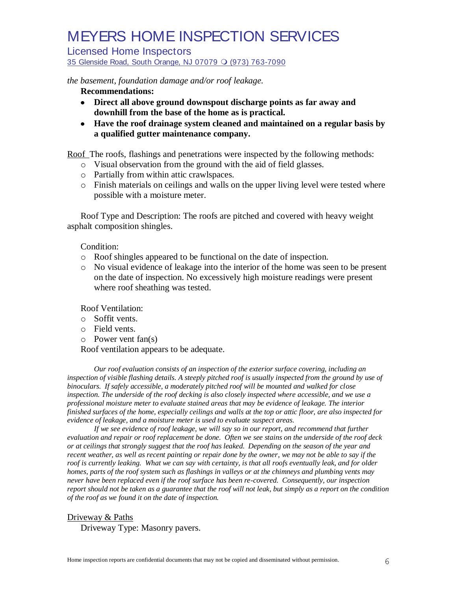#### Licensed Home Inspectors

35 Glenside Road, South Orange, NJ 07079 O (973) 763-7090

*the basement, foundation damage and/or roof leakage.*

**Recommendations:**

- **Direct all above ground downspout discharge points as far away and downhill from the base of the home as is practical.**
- **Have the roof drainage system cleaned and maintained on a regular basis by a qualified gutter maintenance company.**

Roof The roofs, flashings and penetrations were inspected by the following methods:

- o Visual observation from the ground with the aid of field glasses.
- o Partially from within attic crawlspaces.
- o Finish materials on ceilings and walls on the upper living level were tested where possible with a moisture meter.

Roof Type and Description: The roofs are pitched and covered with heavy weight asphalt composition shingles.

### Condition:

- o Roof shingles appeared to be functional on the date of inspection.
- o No visual evidence of leakage into the interior of the home was seen to be present on the date of inspection. No excessively high moisture readings were present where roof sheathing was tested.

Roof Ventilation:

- o Soffit vents.
- o Field vents.
- o Power vent fan(s)

Roof ventilation appears to be adequate.

*Our roof evaluation consists of an inspection of the exterior surface covering, including an inspection of visible flashing details. A steeply pitched roof is usually inspected from the ground by use of binoculars. If safely accessible, a moderately pitched roof will be mounted and walked for close inspection. The underside of the roof decking is also closely inspected where accessible, and we use a professional moisture meter to evaluate stained areas that may be evidence of leakage. The interior finished surfaces of the home, especially ceilings and walls at the top or attic floor, are also inspected for evidence of leakage, and a moisture meter is used to evaluate suspect areas.*

*If we see evidence of roof leakage, we will say so in our report, and recommend that further evaluation and repair or roof replacement be done. Often we see stains on the underside of the roof deck or at ceilings that strongly suggest that the roof has leaked. Depending on the season of the year and recent weather, as well as recent painting or repair done by the owner, we may not be able to say if the roof is currently leaking. What we can say with certainty, is that all roofs eventually leak, and for older homes, parts of the roof system such as flashings in valleys or at the chimneys and plumbing vents may never have been replaced even if the roof surface has been re-covered. Consequently, our inspection report should not be taken as a guarantee that the roof will not leak, but simply as a report on the condition of the roof as we found it on the date of inspection.*

### Driveway & Paths

Driveway Type: Masonry pavers.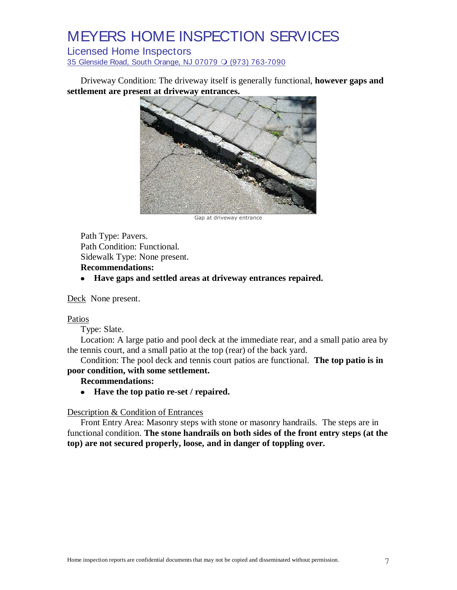### Licensed Home Inspectors

35 Glenside Road, South Orange, NJ 07079 O (973) 763-7090

Driveway Condition: The driveway itself is generally functional, **however gaps and settlement are present at driveway entrances.**



Gap at driveway entrance

Path Type: Pavers. Path Condition: Functional. Sidewalk Type: None present.

### **Recommendations:**

**Have gaps and settled areas at driveway entrances repaired.**

Deck None present.

#### Patios

Type: Slate.

Location: A large patio and pool deck at the immediate rear, and a small patio area by the tennis court, and a small patio at the top (rear) of the back yard.

Condition: The pool deck and tennis court patios are functional. **The top patio is in poor condition, with some settlement.**

#### **Recommendations:**

**Have the top patio re-set / repaired.**  $\bullet$ 

### Description & Condition of Entrances

Front Entry Area: Masonry steps with stone or masonry handrails. The steps are in functional condition. **The stone handrails on both sides of the front entry steps (at the top) are not secured properly, loose, and in danger of toppling over.**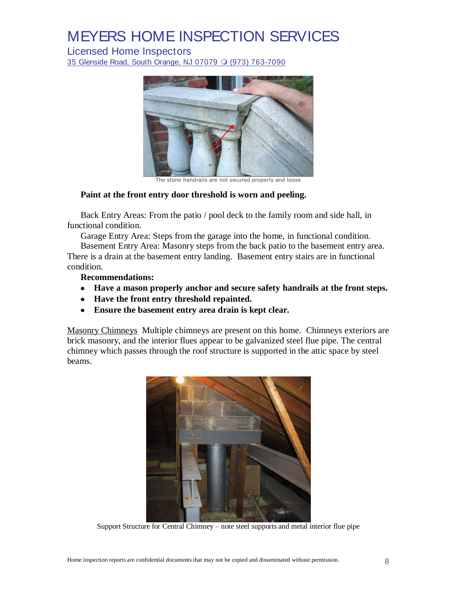Licensed Home Inspectors

35 Glenside Road, South Orange, NJ 07079 O (973) 763-7090



The stone handrails are not secured properly and loose

#### **Paint at the front entry door threshold is worn and peeling.**

Back Entry Areas: From the patio / pool deck to the family room and side hall, in functional condition.

Garage Entry Area: Steps from the garage into the home, in functional condition.

Basement Entry Area: Masonry steps from the back patio to the basement entry area. There is a drain at the basement entry landing. Basement entry stairs are in functional condition.

**Recommendations:**

- **Have a mason properly anchor and secure safety handrails at the front steps.**
- **Have the front entry threshold repainted.**
- **Ensure the basement entry area drain is kept clear.**

Masonry Chimneys Multiple chimneys are present on this home. Chimneys exteriors are brick masonry, and the interior flues appear to be galvanized steel flue pipe. The central chimney which passes through the roof structure is supported in the attic space by steel beams.



Support Structure for Central Chimney – note steel supports and metal interior flue pipe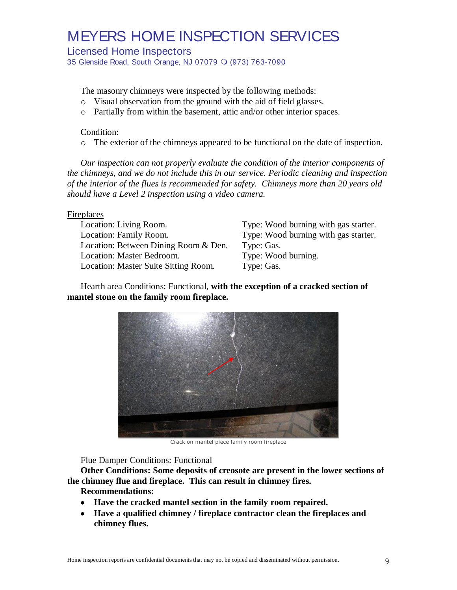Licensed Home Inspectors

35 Glenside Road, South Orange, NJ 07079  $\bigcirc$  (973) 763-7090

The masonry chimneys were inspected by the following methods:

- o Visual observation from the ground with the aid of field glasses.
- o Partially from within the basement, attic and/or other interior spaces.

### Condition:

o The exterior of the chimneys appeared to be functional on the date of inspection.

*Our inspection can not properly evaluate the condition of the interior components of the chimneys, and we do not include this in our service. Periodic cleaning and inspection of the interior of the flues is recommended for safety. Chimneys more than 20 years old should have a Level 2 inspection using a video camera.*

#### Fireplaces

Location: Living Room. Type: Wood burning with gas starter. Location: Family Room. Type: Wood burning with gas starter. Location: Between Dining Room & Den. Type: Gas. Location: Master Bedroom. Type: Wood burning. Location: Master Suite Sitting Room. Type: Gas.

Hearth area Conditions: Functional, **with the exception of a cracked section of mantel stone on the family room fireplace.**



Crack on mantel piece family room fireplace

Flue Damper Conditions: Functional

**Other Conditions: Some deposits of creosote are present in the lower sections of the chimney flue and fireplace. This can result in chimney fires.**

**Recommendations:**

- **Have the cracked mantel section in the family room repaired.**
- **Have a qualified chimney / fireplace contractor clean the fireplaces and chimney flues.**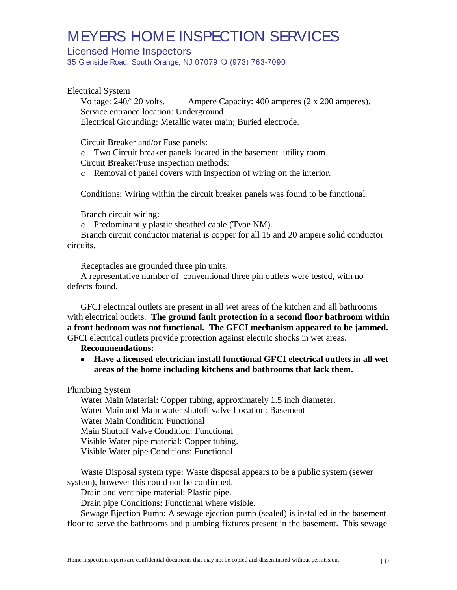Licensed Home Inspectors

35 Glenside Road, South Orange, NJ 07079  $\bigcirc$  (973) 763-7090

### Electrical System

Voltage: 240/120 volts. Ampere Capacity: 400 amperes (2 x 200 amperes). Service entrance location: Underground Electrical Grounding: Metallic water main; Buried electrode.

Circuit Breaker and/or Fuse panels:

o Two Circuit breaker panels located in the basement utility room.

Circuit Breaker/Fuse inspection methods:

o Removal of panel covers with inspection of wiring on the interior.

Conditions: Wiring within the circuit breaker panels was found to be functional.

Branch circuit wiring:

o Predominantly plastic sheathed cable (Type NM).

Branch circuit conductor material is copper for all 15 and 20 ampere solid conductor circuits.

Receptacles are grounded three pin units.

A representative number of conventional three pin outlets were tested, with no defects found.

GFCI electrical outlets are present in all wet areas of the kitchen and all bathrooms with electrical outlets. **The ground fault protection in a second floor bathroom within a front bedroom was not functional. The GFCI mechanism appeared to be jammed.** GFCI electrical outlets provide protection against electric shocks in wet areas.

#### **Recommendations:**

**Have a licensed electrician install functional GFCI electrical outlets in all wet**   $\bullet$ **areas of the home including kitchens and bathrooms that lack them.**

Plumbing System

Water Main Material: Copper tubing, approximately 1.5 inch diameter. Water Main and Main water shutoff valve Location: Basement Water Main Condition: Functional Main Shutoff Valve Condition: Functional Visible Water pipe material: Copper tubing. Visible Water pipe Conditions: Functional

Waste Disposal system type: Waste disposal appears to be a public system (sewer system), however this could not be confirmed.

Drain and vent pipe material: Plastic pipe.

Drain pipe Conditions: Functional where visible.

Sewage Ejection Pump: A sewage ejection pump (sealed) is installed in the basement floor to serve the bathrooms and plumbing fixtures present in the basement. This sewage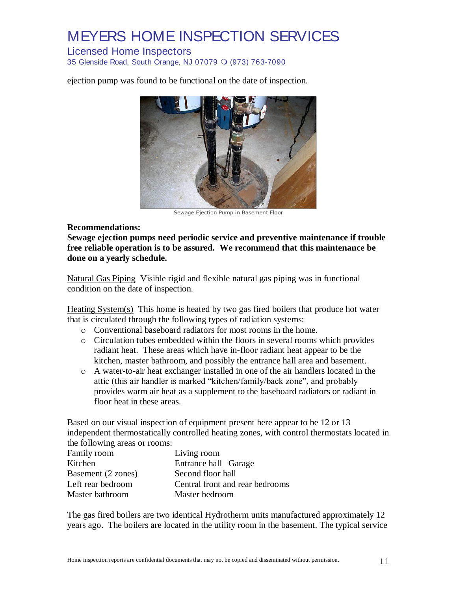### Licensed Home Inspectors

35 Glenside Road, South Orange, NJ 07079 O (973) 763-7090

ejection pump was found to be functional on the date of inspection.



Sewage Ejection Pump in Basement Floor

#### **Recommendations:**

**Sewage ejection pumps need periodic service and preventive maintenance if trouble free reliable operation is to be assured. We recommend that this maintenance be done on a yearly schedule.**

Natural Gas Piping Visible rigid and flexible natural gas piping was in functional condition on the date of inspection.

Heating System(s) This home is heated by two gas fired boilers that produce hot water that is circulated through the following types of radiation systems:

- o Conventional baseboard radiators for most rooms in the home.
- o Circulation tubes embedded within the floors in several rooms which provides radiant heat. These areas which have in-floor radiant heat appear to be the kitchen, master bathroom, and possibly the entrance hall area and basement.
- o A water-to-air heat exchanger installed in one of the air handlers located in the attic (this air handler is marked "kitchen/family/back zone", and probably provides warm air heat as a supplement to the baseboard radiators or radiant in floor heat in these areas.

Based on our visual inspection of equipment present here appear to be 12 or 13 independent thermostatically controlled heating zones, with control thermostats located in the following areas or rooms:

| Family room        | Living room                     |
|--------------------|---------------------------------|
| Kitchen            | Entrance hall Garage            |
| Basement (2 zones) | Second floor hall               |
| Left rear bedroom  | Central front and rear bedrooms |
| Master bathroom    | Master bedroom                  |

The gas fired boilers are two identical Hydrotherm units manufactured approximately 12 years ago. The boilers are located in the utility room in the basement. The typical service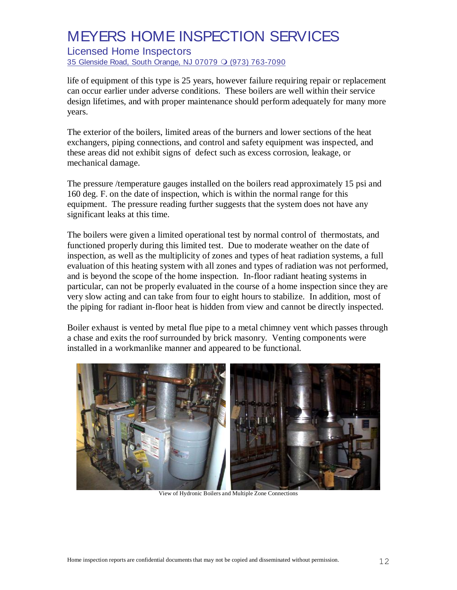Licensed Home Inspectors

35 Glenside Road, South Orange, NJ 07079 O (973) 763-7090

life of equipment of this type is 25 years, however failure requiring repair or replacement can occur earlier under adverse conditions. These boilers are well within their service design lifetimes, and with proper maintenance should perform adequately for many more years.

The exterior of the boilers, limited areas of the burners and lower sections of the heat exchangers, piping connections, and control and safety equipment was inspected, and these areas did not exhibit signs of defect such as excess corrosion, leakage, or mechanical damage.

The pressure /temperature gauges installed on the boilers read approximately 15 psi and 160 deg. F. on the date of inspection, which is within the normal range for this equipment. The pressure reading further suggests that the system does not have any significant leaks at this time.

The boilers were given a limited operational test by normal control of thermostats, and functioned properly during this limited test. Due to moderate weather on the date of inspection, as well as the multiplicity of zones and types of heat radiation systems, a full evaluation of this heating system with all zones and types of radiation was not performed, and is beyond the scope of the home inspection. In-floor radiant heating systems in particular, can not be properly evaluated in the course of a home inspection since they are very slow acting and can take from four to eight hours to stabilize. In addition, most of the piping for radiant in-floor heat is hidden from view and cannot be directly inspected.

Boiler exhaust is vented by metal flue pipe to a metal chimney vent which passes through a chase and exits the roof surrounded by brick masonry. Venting components were installed in a workmanlike manner and appeared to be functional.

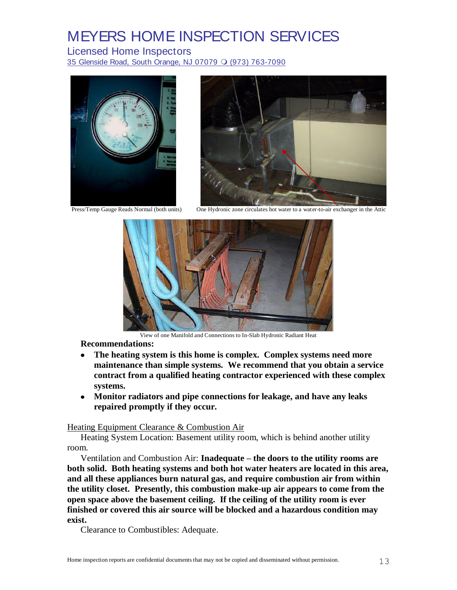Licensed Home Inspectors

35 Glenside Road, South Orange, NJ 07079 O (973) 763-7090



Press/Temp Gauge Reads Normal (both units)



One Hydronic zone circulates hot water to a water-to-air exchanger in the Attic



View of one Manifold and Connections to In-Slab Hydronic Radiant Heat

**Recommendations:**

- **The heating system is this home is complex. Complex systems need more**   $\bullet$ **maintenance than simple systems. We recommend that you obtain a service contract from a qualified heating contractor experienced with these complex systems.**
- **Monitor radiators and pipe connections for leakage, and have any leaks repaired promptly if they occur.**

#### Heating Equipment Clearance & Combustion Air

Heating System Location: Basement utility room, which is behind another utility room.

Ventilation and Combustion Air: **Inadequate – the doors to the utility rooms are both solid. Both heating systems and both hot water heaters are located in this area, and all these appliances burn natural gas, and require combustion air from within the utility closet. Presently, this combustion make-up air appears to come from the open space above the basement ceiling. If the ceiling of the utility room is ever finished or covered this air source will be blocked and a hazardous condition may exist.**

Clearance to Combustibles: Adequate.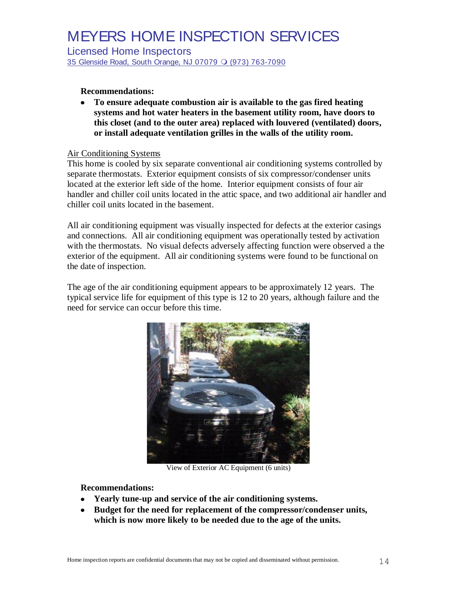Licensed Home Inspectors

35 Glenside Road, South Orange, NJ 07079 O (973) 763-7090

### **Recommendations:**

**To ensure adequate combustion air is available to the gas fired heating systems and hot water heaters in the basement utility room, have doors to this closet (and to the outer area) replaced with louvered (ventilated) doors, or install adequate ventilation grilles in the walls of the utility room.**

### Air Conditioning Systems

This home is cooled by six separate conventional air conditioning systems controlled by separate thermostats. Exterior equipment consists of six compressor/condenser units located at the exterior left side of the home. Interior equipment consists of four air handler and chiller coil units located in the attic space, and two additional air handler and chiller coil units located in the basement.

All air conditioning equipment was visually inspected for defects at the exterior casings and connections. All air conditioning equipment was operationally tested by activation with the thermostats. No visual defects adversely affecting function were observed a the exterior of the equipment. All air conditioning systems were found to be functional on the date of inspection.

The age of the air conditioning equipment appears to be approximately 12 years. The typical service life for equipment of this type is 12 to 20 years, although failure and the need for service can occur before this time.



View of Exterior AC Equipment (6 units)

#### **Recommendations:**

- **Yearly tune-up and service of the air conditioning systems.**
- **Budget for the need for replacement of the compressor/condenser units, which is now more likely to be needed due to the age of the units.**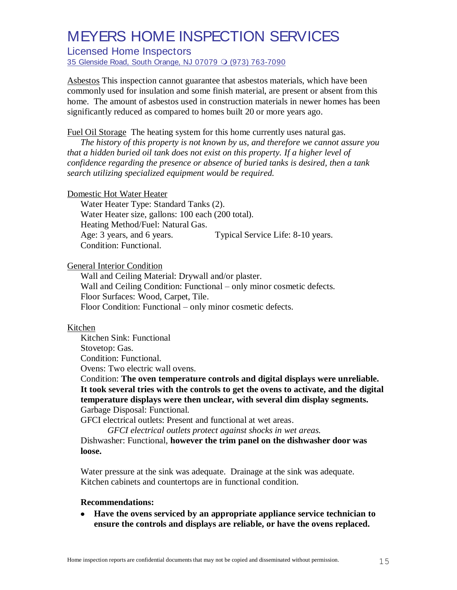Licensed Home Inspectors

35 Glenside Road, South Orange, NJ 07079 O (973) 763-7090

Asbestos This inspection cannot guarantee that asbestos materials, which have been commonly used for insulation and some finish material, are present or absent from this home. The amount of asbestos used in construction materials in newer homes has been significantly reduced as compared to homes built 20 or more years ago.

Fuel Oil Storage The heating system for this home currently uses natural gas.

*The history of this property is not known by us, and therefore we cannot assure you that a hidden buried oil tank does not exist on this property. If a higher level of confidence regarding the presence or absence of buried tanks is desired, then a tank search utilizing specialized equipment would be required.* 

#### Domestic Hot Water Heater

Water Heater Type: Standard Tanks (2). Water Heater size, gallons: 100 each (200 total). Heating Method/Fuel: Natural Gas. Age: 3 years, and 6 years. Typical Service Life: 8-10 years. Condition: Functional.

General Interior Condition

Wall and Ceiling Material: Drywall and/or plaster. Wall and Ceiling Condition: Functional – only minor cosmetic defects. Floor Surfaces: Wood, Carpet, Tile. Floor Condition: Functional – only minor cosmetic defects.

#### Kitchen

Kitchen Sink: Functional

Stovetop: Gas.

Condition: Functional.

Ovens: Two electric wall ovens.

Condition: **The oven temperature controls and digital displays were unreliable. It took several tries with the controls to get the ovens to activate, and the digital temperature displays were then unclear, with several dim display segments.** Garbage Disposal: Functional.

GFCI electrical outlets: Present and functional at wet areas.

*GFCI electrical outlets protect against shocks in wet areas.*

Dishwasher: Functional, **however the trim panel on the dishwasher door was loose.**

Water pressure at the sink was adequate. Drainage at the sink was adequate. Kitchen cabinets and countertops are in functional condition.

#### **Recommendations:**

**Have the ovens serviced by an appropriate appliance service technician to ensure the controls and displays are reliable, or have the ovens replaced.**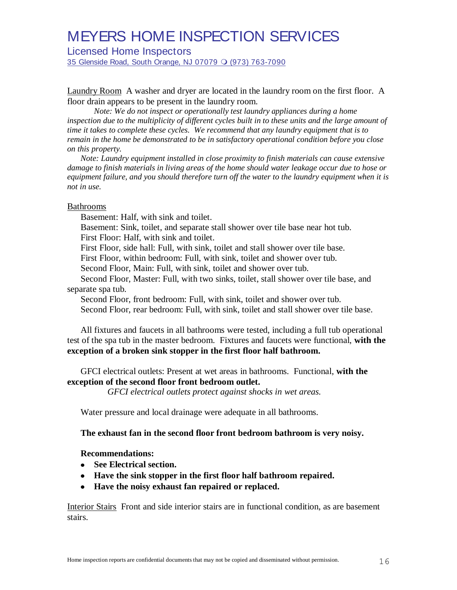Licensed Home Inspectors

35 Glenside Road, South Orange, NJ 07079  $\bigcirc$  (973) 763-7090

Laundry Room A washer and dryer are located in the laundry room on the first floor. A floor drain appears to be present in the laundry room.

*Note: We do not inspect or operationally test laundry appliances during a home inspection due to the multiplicity of different cycles built in to these units and the large amount of time it takes to complete these cycles. We recommend that any laundry equipment that is to remain in the home be demonstrated to be in satisfactory operational condition before you close on this property.*

*Note: Laundry equipment installed in close proximity to finish materials can cause extensive damage to finish materials in living areas of the home should water leakage occur due to hose or equipment failure, and you should therefore turn off the water to the laundry equipment when it is not in use.*

#### Bathrooms

Basement: Half, with sink and toilet.

Basement: Sink, toilet, and separate stall shower over tile base near hot tub. First Floor: Half, with sink and toilet.

First Floor, side hall: Full, with sink, toilet and stall shower over tile base.

First Floor, within bedroom: Full, with sink, toilet and shower over tub.

Second Floor, Main: Full, with sink, toilet and shower over tub.

Second Floor, Master: Full, with two sinks, toilet, stall shower over tile base, and separate spa tub.

Second Floor, front bedroom: Full, with sink, toilet and shower over tub. Second Floor, rear bedroom: Full, with sink, toilet and stall shower over tile base.

All fixtures and faucets in all bathrooms were tested, including a full tub operational test of the spa tub in the master bedroom. Fixtures and faucets were functional, **with the exception of a broken sink stopper in the first floor half bathroom.**

GFCI electrical outlets: Present at wet areas in bathrooms. Functional, **with the exception of the second floor front bedroom outlet.**

*GFCI electrical outlets protect against shocks in wet areas.*

Water pressure and local drainage were adequate in all bathrooms.

#### **The exhaust fan in the second floor front bedroom bathroom is very noisy.**

#### **Recommendations:**

- **See Electrical section.**
- **Have the sink stopper in the first floor half bathroom repaired.**
- **Have the noisy exhaust fan repaired or replaced.**

Interior Stairs Front and side interior stairs are in functional condition, as are basement stairs.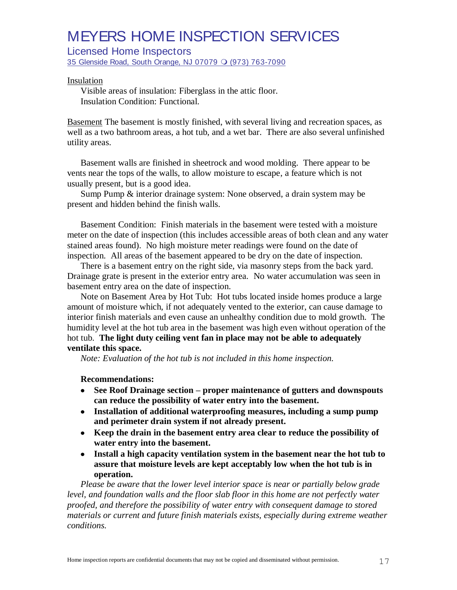Licensed Home Inspectors

35 Glenside Road, South Orange, NJ 07079  $\bigcirc$  (973) 763-7090

#### Insulation

Visible areas of insulation: Fiberglass in the attic floor. Insulation Condition: Functional.

Basement The basement is mostly finished, with several living and recreation spaces, as well as a two bathroom areas, a hot tub, and a wet bar. There are also several unfinished utility areas.

Basement walls are finished in sheetrock and wood molding. There appear to be vents near the tops of the walls, to allow moisture to escape, a feature which is not usually present, but is a good idea.

Sump Pump & interior drainage system: None observed, a drain system may be present and hidden behind the finish walls.

Basement Condition: Finish materials in the basement were tested with a moisture meter on the date of inspection (this includes accessible areas of both clean and any water stained areas found). No high moisture meter readings were found on the date of inspection. All areas of the basement appeared to be dry on the date of inspection.

There is a basement entry on the right side, via masonry steps from the back yard. Drainage grate is present in the exterior entry area. No water accumulation was seen in basement entry area on the date of inspection.

Note on Basement Area by Hot Tub: Hot tubs located inside homes produce a large amount of moisture which, if not adequately vented to the exterior, can cause damage to interior finish materials and even cause an unhealthy condition due to mold growth. The humidity level at the hot tub area in the basement was high even without operation of the hot tub. **The light duty ceiling vent fan in place may not be able to adequately ventilate this space.**

*Note: Evaluation of the hot tub is not included in this home inspection.*

#### **Recommendations:**

- $\bullet$ **See Roof Drainage section – proper maintenance of gutters and downspouts can reduce the possibility of water entry into the basement.**
- **Installation of additional waterproofing measures, including a sump pump and perimeter drain system if not already present.**
- **Keep the drain in the basement entry area clear to reduce the possibility of water entry into the basement.**
- **Install a high capacity ventilation system in the basement near the hot tub to assure that moisture levels are kept acceptably low when the hot tub is in operation.**

*Please be aware that the lower level interior space is near or partially below grade level, and foundation walls and the floor slab floor in this home are not perfectly water proofed, and therefore the possibility of water entry with consequent damage to stored materials or current and future finish materials exists, especially during extreme weather conditions.*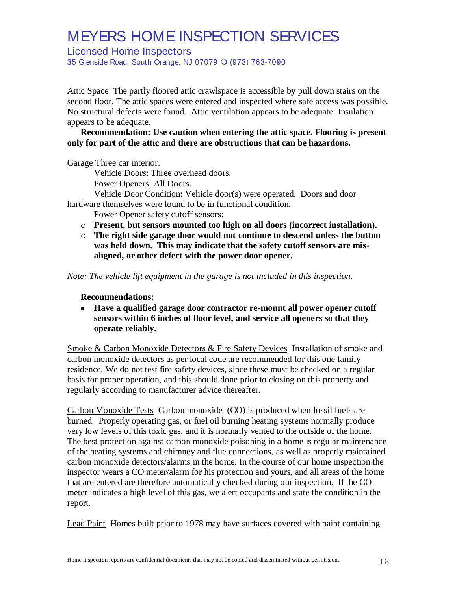Licensed Home Inspectors

35 Glenside Road, South Orange, NJ 07079 O (973) 763-7090

Attic Space The partly floored attic crawlspace is accessible by pull down stairs on the second floor. The attic spaces were entered and inspected where safe access was possible. No structural defects were found. Attic ventilation appears to be adequate. Insulation appears to be adequate.

### **Recommendation: Use caution when entering the attic space. Flooring is present only for part of the attic and there are obstructions that can be hazardous.**

Garage Three car interior.

Vehicle Doors: Three overhead doors.

Power Openers: All Doors.

Vehicle Door Condition: Vehicle door(s) were operated. Doors and door hardware themselves were found to be in functional condition.

Power Opener safety cutoff sensors:

- o **Present, but sensors mounted too high on all doors (incorrect installation).**
- o **The right side garage door would not continue to descend unless the button was held down. This may indicate that the safety cutoff sensors are misaligned, or other defect with the power door opener.**

*Note: The vehicle lift equipment in the garage is not included in this inspection.*

### **Recommendations:**

**Have a qualified garage door contractor re-mount all power opener cutoff sensors within 6 inches of floor level, and service all openers so that they operate reliably.**

Smoke & Carbon Monoxide Detectors & Fire Safety Devices Installation of smoke and carbon monoxide detectors as per local code are recommended for this one family residence. We do not test fire safety devices, since these must be checked on a regular basis for proper operation, and this should done prior to closing on this property and regularly according to manufacturer advice thereafter.

Carbon Monoxide Tests Carbon monoxide (CO) is produced when fossil fuels are burned. Properly operating gas, or fuel oil burning heating systems normally produce very low levels of this toxic gas, and it is normally vented to the outside of the home. The best protection against carbon monoxide poisoning in a home is regular maintenance of the heating systems and chimney and flue connections, as well as properly maintained carbon monoxide detectors/alarms in the home. In the course of our home inspection the inspector wears a CO meter/alarm for his protection and yours, and all areas of the home that are entered are therefore automatically checked during our inspection. If the CO meter indicates a high level of this gas, we alert occupants and state the condition in the report.

Lead Paint Homes built prior to 1978 may have surfaces covered with paint containing